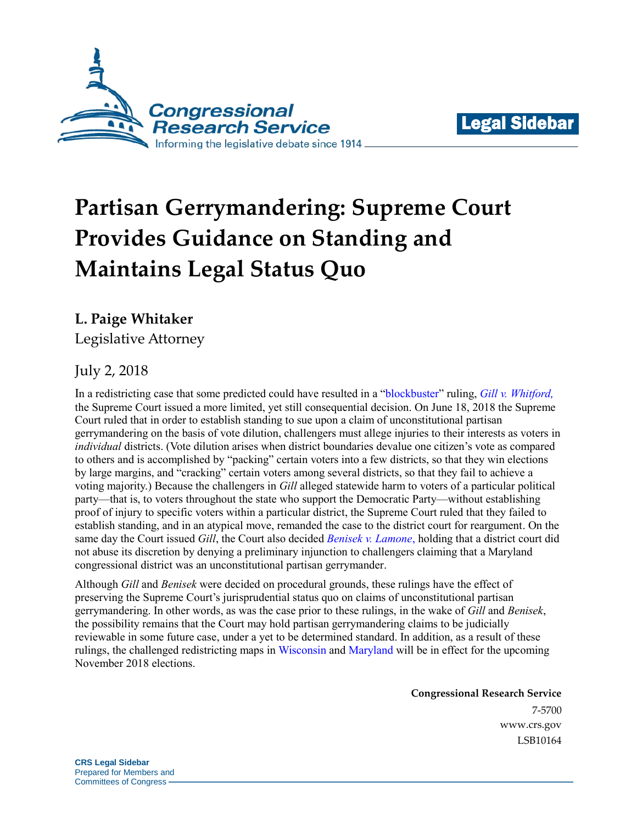



# **Partisan Gerrymandering: Supreme Court Provides Guidance on Standing and Maintains Legal Status Quo**

**L. Paige Whitaker**

Legislative Attorney

# July 2, 2018

In a redistricting case that some predicted could have resulted in a ["blockbuster"](https://www.rollcall.com/news/politics/supreme-court-gerrymandering-wisconsin) ruling, *[Gill v. Whitford](https://www.supremecourt.gov/opinions/17pdf/16-1161_dc8f.pdf),*  the Supreme Court issued a more limited, yet still consequential decision. On June 18, 2018 the Supreme Court ruled that in order to establish standing to sue upon a claim of unconstitutional partisan gerrymandering on the basis of vote dilution, challengers must allege injuries to their interests as voters in *individual* districts. (Vote dilution arises when district boundaries devalue one citizen's vote as compared to others and is accomplished by "packing" certain voters into a few districts, so that they win elections by large margins, and "cracking" certain voters among several districts, so that they fail to achieve a voting majority.) Because the challengers in *Gill* alleged statewide harm to voters of a particular political party—that is, to voters throughout the state who support the Democratic Party—without establishing proof of injury to specific voters within a particular district, the Supreme Court ruled that they failed to establish standing, and in an atypical move, remanded the case to the district court for reargument. On the same day the Court issued *Gill*, the Court also decided *[Benisek v. Lamone](https://www.supremecourt.gov/opinions/17pdf/17-333_b97c.pdf)*, holding that a district court did not abuse its discretion by denying a preliminary injunction to challengers claiming that a Maryland congressional district was an unconstitutional partisan gerrymander.

Although *Gill* and *Benisek* were decided on procedural grounds, these rulings have the effect of preserving the Supreme Court's jurisprudential status quo on claims of unconstitutional partisan gerrymandering. In other words, as was the case prior to these rulings, in the wake of *Gill* and *Benisek*, the possibility remains that the Court may hold partisan gerrymandering claims to be judicially reviewable in some future case, under a yet to be determined standard. In addition, as a result of these rulings, the challenged redistricting maps i[n Wisconsin](http://elections.wi.gov/node/4816) and [Maryland](https://www.elections.maryland.gov/elections/2018/index.html) will be in effect for the upcoming November 2018 elections.

> **Congressional Research Service** 7-5700 [www.crs.gov](http://www.crs.gov/) LSB10164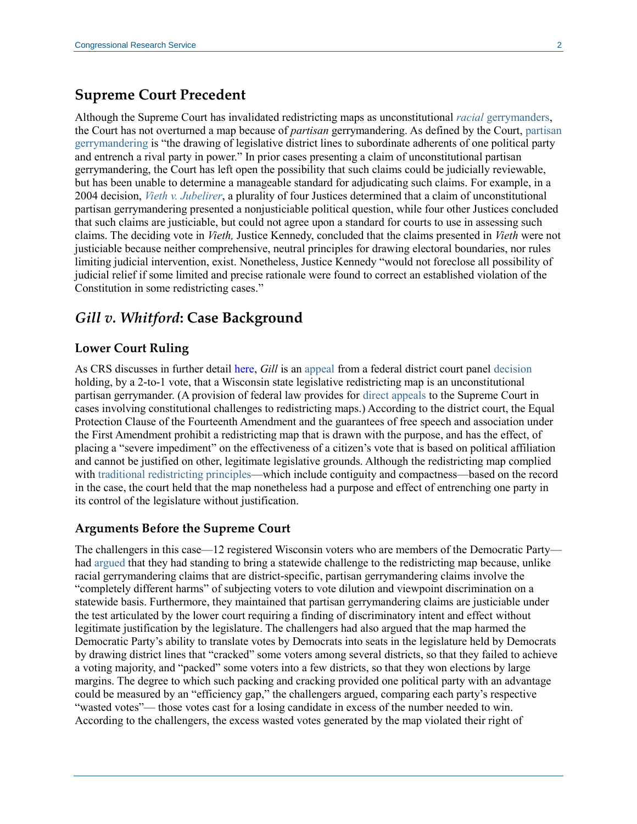#### **Supreme Court Precedent**

Although the Supreme Court has invalidated redistricting maps as unconstitutional *racial* [gerrymanders,](https://fas.org/sgp/crs/misc/R44798.pdf) the Court has not overturned a map because of *partisan* gerrymandering. As defined by the Court, [partisan](https://supreme.justia.com/cases/federal/us/576/13-1314/opinion3.html#T1)  [gerrymandering](https://supreme.justia.com/cases/federal/us/576/13-1314/opinion3.html#T1) is "the drawing of legislative district lines to subordinate adherents of one political party and entrench a rival party in power." In prior cases presenting a claim of unconstitutional partisan gerrymandering, the Court has left open the possibility that such claims could be judicially reviewable, but has been unable to determine a manageable standard for adjudicating such claims. For example, in a 2004 decision, *[Vieth v. Jubelirer](https://supreme.justia.com/cases/federal/us/541/267/opinion.html)*, a plurality of four Justices determined that a claim of unconstitutional partisan gerrymandering presented a nonjusticiable political question, while four other Justices concluded that such claims are justiciable, but could not agree upon a standard for courts to use in assessing such claims. The deciding vote in *Vieth,* Justice Kennedy, concluded that the claims presented in *Vieth* were not justiciable because neither comprehensive, neutral principles for drawing electoral boundaries, nor rules limiting judicial intervention, exist. Nonetheless, Justice Kennedy "would not foreclose all possibility of judicial relief if some limited and precise rationale were found to correct an established violation of the Constitution in some redistricting cases."

### *Gill v. Whitford***: Case Background**

#### **Lower Court Ruling**

As CRS discusses in further detail [here,](http://www.crs.gov/Reports/LSB10006?source=search&guid=8cb6bf2cb7dc4568a6a712cc3ca13994&index=1) *Gill* is an [appeal](http://www.scotusblog.com/wp-content/uploads/2017/04/16-1161-jurisdictional-statement.pdf) from a federal district court panel [decision](http://www.leagle.com/decision/In%20FDCO%2020161122F51/WHITFORD%20v.%20GILL) holding, by a 2-to-1 vote, that a Wisconsin state legislative redistricting map is an unconstitutional partisan gerrymander. (A provision of federal law provides for [direct appeals](http://uscode.house.gov/view.xhtml?req=(title:28%20section:1253%20edition:prelim)%20OR%20(granuleid:USC-prelim-title28-section1253)&f=treesort&edition=prelim&num=0&jumpTo=true) to the Supreme Court in cases involving constitutional challenges to redistricting maps.) According to the district court, the Equal Protection Clause of the Fourteenth Amendment and the guarantees of free speech and association under the First Amendment prohibit a redistricting map that is drawn with the purpose, and has the effect, of placing a "severe impediment" on the effectiveness of a citizen's vote that is based on political affiliation and cannot be justified on other, legitimate legislative grounds. Although the redistricting map complied with [traditional redistricting principles—](https://supreme.justia.com/cases/federal/us/541/267/opinion.html)which include contiguity and compactness—based on the record in the case, the court held that the map nonetheless had a purpose and effect of entrenching one party in its control of the legislature without justification.

#### **Arguments Before the Supreme Court**

The challengers in this case—12 registered Wisconsin voters who are members of the Democratic Party had [argued](http://www.scotusblog.com/wp-content/uploads/2017/08/16-1161-bs.pdf) that they had standing to bring a statewide challenge to the redistricting map because, unlike racial gerrymandering claims that are district-specific, partisan gerrymandering claims involve the "completely different harms" of subjecting voters to vote dilution and viewpoint discrimination on a statewide basis. Furthermore, they maintained that partisan gerrymandering claims are justiciable under the test articulated by the lower court requiring a finding of discriminatory intent and effect without legitimate justification by the legislature. The challengers had also argued that the map harmed the Democratic Party's ability to translate votes by Democrats into seats in the legislature held by Democrats by drawing district lines that "cracked" some voters among several districts, so that they failed to achieve a voting majority, and "packed" some voters into a few districts, so that they won elections by large margins. The degree to which such packing and cracking provided one political party with an advantage could be measured by an "efficiency gap," the challengers argued, comparing each party's respective "wasted votes"— those votes cast for a losing candidate in excess of the number needed to win. According to the challengers, the excess wasted votes generated by the map violated their right of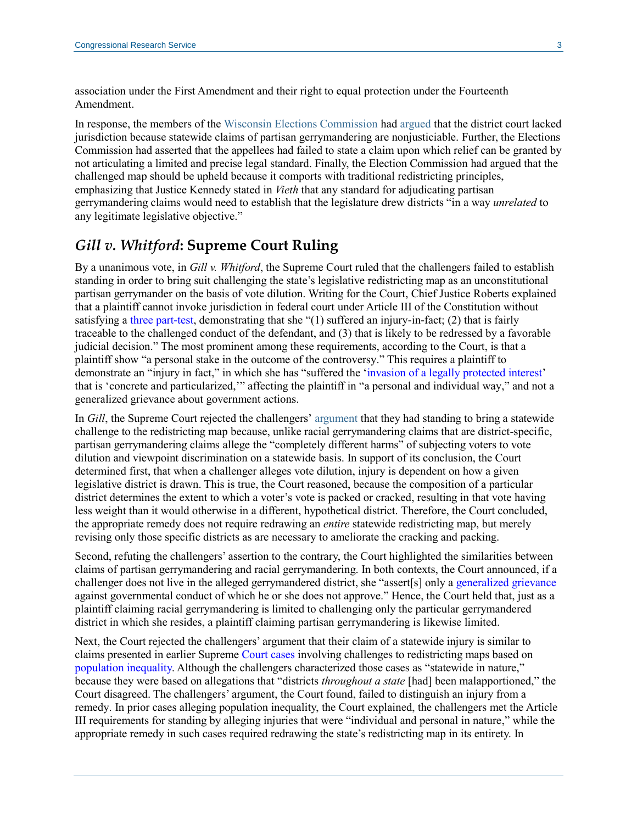association under the First Amendment and their right to equal protection under the Fourteenth Amendment.

In response, the members of the [Wisconsin Elections Commission](http://elections.wi.gov/) ha[d argued](http://www.scotusblog.com/wp-content/uploads/2017/08/16-1161-ts.pdf) that the district court lacked jurisdiction because statewide claims of partisan gerrymandering are nonjusticiable. Further, the Elections Commission had asserted that the appellees had failed to state a claim upon which relief can be granted by not articulating a limited and precise legal standard. Finally, the Election Commission had argued that the challenged map should be upheld because it comports with traditional redistricting principles, emphasizing that Justice Kennedy stated in *Vieth* that any standard for adjudicating partisan gerrymandering claims would need to establish that the legislature drew districts "in a way *unrelated* to any legitimate legislative objective."

## *Gill v. Whitford***: Supreme Court Ruling**

By a unanimous vote, in *Gill v. Whitford*, the Supreme Court ruled that the challengers failed to establish standing in order to bring suit challenging the state's legislative redistricting map as an unconstitutional partisan gerrymander on the basis of vote dilution. Writing for the Court, Chief Justice Roberts explained that a plaintiff cannot invoke jurisdiction in federal court under Article III of the Constitution without satisfying a [three part-test,](https://caselaw.findlaw.com/us-supreme-court/13-1339.html) demonstrating that she "(1) suffered an injury-in-fact; (2) that is fairly traceable to the challenged conduct of the defendant, and (3) that is likely to be redressed by a favorable judicial decision." The most prominent among these requirements, according to the Court, is that a plaintiff show "a personal stake in the outcome of the controversy." This requires a plaintiff to demonstrate an "injury in fact," in which she has "suffered the ['invasion of a legally protected interest'](https://supreme.justia.com/cases/federal/us/504/555/) that is 'concrete and particularized,'" affecting the plaintiff in "a personal and individual way," and not a generalized grievance about government actions.

In *Gill*, the Supreme Court rejected the challengers' [argument](http://www.scotusblog.com/wp-content/uploads/2017/08/16-1161-bs.pdf) that they had standing to bring a statewide challenge to the redistricting map because, unlike racial gerrymandering claims that are district-specific, partisan gerrymandering claims allege the "completely different harms" of subjecting voters to vote dilution and viewpoint discrimination on a statewide basis. In support of its conclusion, the Court determined first, that when a challenger alleges vote dilution, injury is dependent on how a given legislative district is drawn. This is true, the Court reasoned, because the composition of a particular district determines the extent to which a voter's vote is packed or cracked, resulting in that vote having less weight than it would otherwise in a different, hypothetical district. Therefore, the Court concluded, the appropriate remedy does not require redrawing an *entire* statewide redistricting map, but merely revising only those specific districts as are necessary to ameliorate the cracking and packing.

Second, refuting the challengers' assertion to the contrary, the Court highlighted the similarities between claims of partisan gerrymandering and racial gerrymandering. In both contexts, the Court announced, if a challenger does not live in the alleged gerrymandered district, she "assert[s] only a [generalized grievance](https://supreme.justia.com/cases/federal/us/515/737/) against governmental conduct of which he or she does not approve." Hence, the Court held that, just as a plaintiff claiming racial gerrymandering is limited to challenging only the particular gerrymandered district in which she resides, a plaintiff claiming partisan gerrymandering is likewise limited.

Next, the Court rejected the challengers' argument that their claim of a statewide injury is similar to claims presented in earlier Supreme [Court](https://supreme.justia.com/cases/federal/us/369/186/case.html) [cases](https://supreme.justia.com/cases/federal/us/377/533/case.html) involving challenges to redistricting maps based on [population](https://fas.org/sgp/crs/misc/R44798.pdf) inequality. Although the challengers characterized those cases as "statewide in nature," because they were based on allegations that "districts *throughout a state* [had] been malapportioned," the Court disagreed. The challengers' argument, the Court found, failed to distinguish an injury from a remedy. In prior cases alleging population inequality, the Court explained, the challengers met the Article III requirements for standing by alleging injuries that were "individual and personal in nature," while the appropriate remedy in such cases required redrawing the state's redistricting map in its entirety. In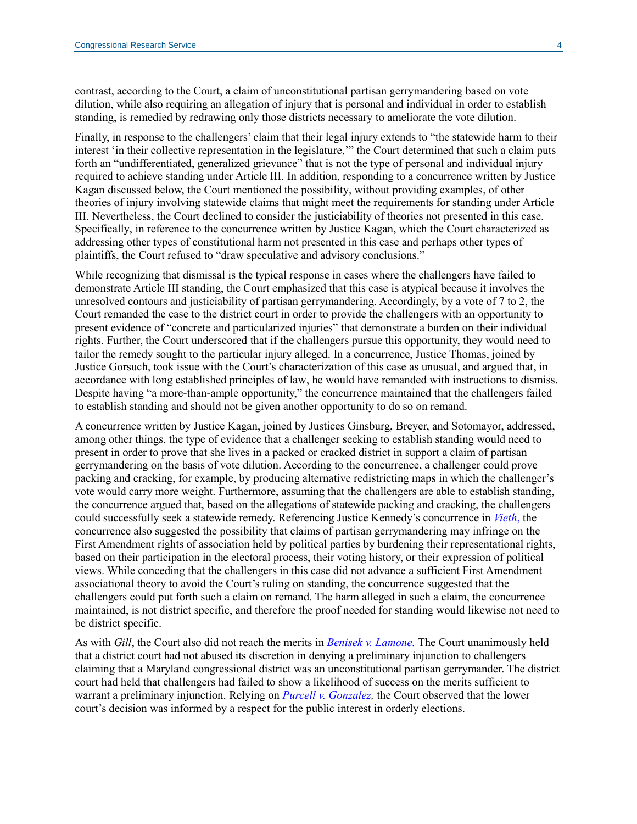contrast, according to the Court, a claim of unconstitutional partisan gerrymandering based on vote dilution, while also requiring an allegation of injury that is personal and individual in order to establish standing, is remedied by redrawing only those districts necessary to ameliorate the vote dilution.

Finally, in response to the challengers' claim that their legal injury extends to "the statewide harm to their interest 'in their collective representation in the legislature,'" the Court determined that such a claim puts forth an "undifferentiated, generalized grievance" that is not the type of personal and individual injury required to achieve standing under Article III. In addition, responding to a concurrence written by Justice Kagan discussed below, the Court mentioned the possibility, without providing examples, of other theories of injury involving statewide claims that might meet the requirements for standing under Article III. Nevertheless, the Court declined to consider the justiciability of theories not presented in this case. Specifically, in reference to the concurrence written by Justice Kagan, which the Court characterized as addressing other types of constitutional harm not presented in this case and perhaps other types of plaintiffs, the Court refused to "draw speculative and advisory conclusions."

While recognizing that dismissal is the typical response in cases where the challengers have failed to demonstrate Article III standing, the Court emphasized that this case is atypical because it involves the unresolved contours and justiciability of partisan gerrymandering. Accordingly, by a vote of 7 to 2, the Court remanded the case to the district court in order to provide the challengers with an opportunity to present evidence of "concrete and particularized injuries" that demonstrate a burden on their individual rights. Further, the Court underscored that if the challengers pursue this opportunity, they would need to tailor the remedy sought to the particular injury alleged. In a concurrence, Justice Thomas, joined by Justice Gorsuch, took issue with the Court's characterization of this case as unusual, and argued that, in accordance with long established principles of law, he would have remanded with instructions to dismiss. Despite having "a more-than-ample opportunity," the concurrence maintained that the challengers failed to establish standing and should not be given another opportunity to do so on remand.

A concurrence written by Justice Kagan, joined by Justices Ginsburg, Breyer, and Sotomayor, addressed, among other things, the type of evidence that a challenger seeking to establish standing would need to present in order to prove that she lives in a packed or cracked district in support a claim of partisan gerrymandering on the basis of vote dilution. According to the concurrence, a challenger could prove packing and cracking, for example, by producing alternative redistricting maps in which the challenger's vote would carry more weight. Furthermore, assuming that the challengers are able to establish standing, the concurrence argued that, based on the allegations of statewide packing and cracking, the challengers could successfully seek a statewide remedy. Referencing Justice Kennedy's concurrence in *[Vieth](http://www.crs.gov/Reports/R44798?source=search&guid=ed3f92ca04e64b18a01d8ce3dda5a55b&index=2#_Toc478133539)*, the concurrence also suggested the possibility that claims of partisan gerrymandering may infringe on the First Amendment rights of association held by political parties by burdening their representational rights, based on their participation in the electoral process, their voting history, or their expression of political views. While conceding that the challengers in this case did not advance a sufficient First Amendment associational theory to avoid the Court's ruling on standing, the concurrence suggested that the challengers could put forth such a claim on remand. The harm alleged in such a claim, the concurrence maintained, is not district specific, and therefore the proof needed for standing would likewise not need to be district specific.

As with *Gill*, the Court also did not reach the merits in *[Benisek v. Lamone.](https://www.supremecourt.gov/opinions/17pdf/17-333_b97c.pdf)* The Court unanimously held that a district court had not abused its discretion in denying a preliminary injunction to challengers claiming that a Maryland congressional district was an unconstitutional partisan gerrymander. The district court had held that challengers had failed to show a likelihood of success on the merits sufficient to warrant a preliminary injunction. Relying on *[Purcell v. Gonzalez,](https://supreme.justia.com/cases/federal/us/549/1/)* the Court observed that the lower court's decision was informed by a respect for the public interest in orderly elections.